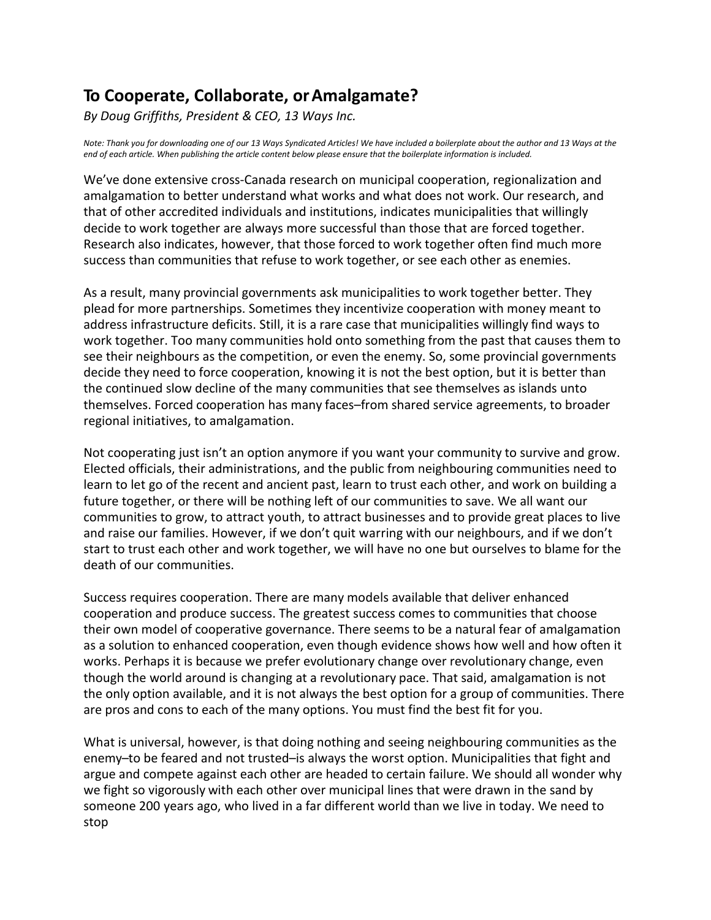## **To Cooperate, Collaborate, orAmalgamate?**

 *By Doug Griffiths, President & CEO, 13 Ways Inc.* 

*Note: Thank you for downloading one of our 13 Ways Syndicated Articles! We have included a boilerplate about the author and 13 Ways at the end of each article. When publishing the article content below please ensure that the boilerplate information is included.*

 amalgamation to better understand what works and what does not work. Our research, and that of other accredited individuals and institutions, indicates municipalities that willingly decide to work together are always more successful than those that are forced together. We've done extensive cross-Canada research on municipal cooperation, regionalization and Research also indicates, however, that those forced to work together often find much more success than communities that refuse to work together, or see each other as enemies.

 work together. Too many communities hold onto something from the past that causes them to see their neighbours as the competition, or even the enemy. So, some provincial governments decide they need to force cooperation, knowing it is not the best option, but it is better than the continued slow decline of the many communities that see themselves as islands unto As a result, many provincial governments ask municipalities to work together better. They plead for more partnerships. Sometimes they incentivize cooperation with money meant to address infrastructure deficits. Still, it is a rare case that municipalities willingly find ways to themselves. Forced cooperation has many faces–from shared service agreements, to broader regional initiatives, to amalgamation.

 Not cooperating just isn't an option anymore if you want your community to survive and grow. learn to let go of the recent and ancient past, learn to trust each other, and work on building a communities to grow, to attract youth, to attract businesses and to provide great places to live start to trust each other and work together, we will have no one but ourselves to blame for the Elected officials, their administrations, and the public from neighbouring communities need to future together, or there will be nothing left of our communities to save. We all want our and raise our families. However, if we don't quit warring with our neighbours, and if we don't death of our communities.

 their own model of cooperative governance. There seems to be a natural fear of amalgamation as a solution to enhanced cooperation, even though evidence shows how well and how often it works. Perhaps it is because we prefer evolutionary change over revolutionary change, even though the world around is changing at a revolutionary pace. That said, amalgamation is not the only option available, and it is not always the best option for a group of communities. There Success requires cooperation. There are many models available that deliver enhanced cooperation and produce success. The greatest success comes to communities that choose are pros and cons to each of the many options. You must find the best fit for you.

 What is universal, however, is that doing nothing and seeing neighbouring communities as the enemy–to be feared and not trusted–is always the worst option. Municipalities that fight and we fight so vigorously with each other over municipal lines that were drawn in the sand by someone 200 years ago, who lived in a far different world than we live in today. We need to argue and compete against each other are headed to certain failure. We should all wonder why stop